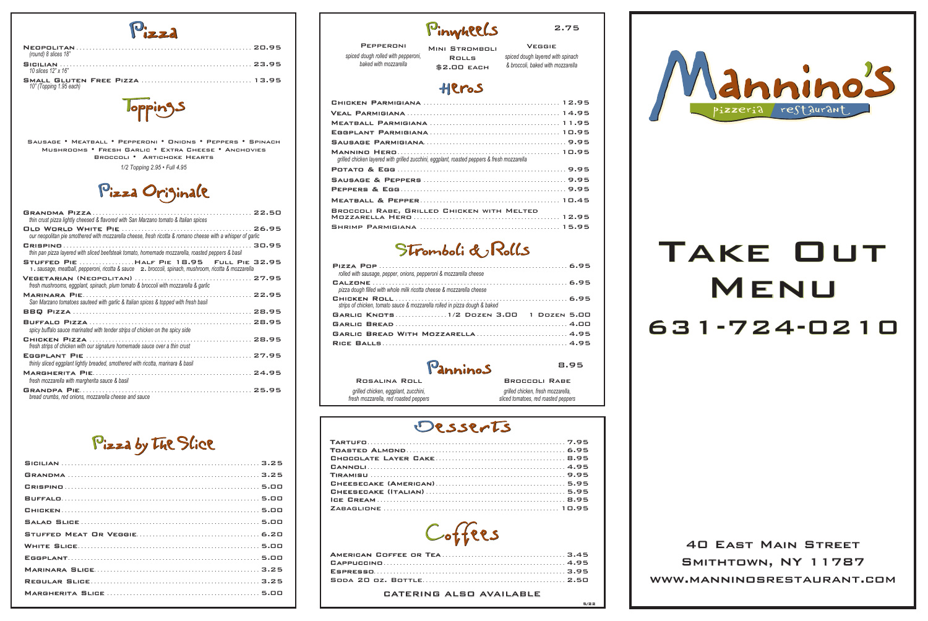2.75



|                                     | Pinyheels             |
|-------------------------------------|-----------------------|
| <b>PEPPERONI</b>                    | <b>MINI STROMBOLI</b> |
| spiced dough rolled with pepperoni, | <b>ROLLS</b>          |
| baked with mozzarella               |                       |

Veggie *spiced dough layered with spinach & broccoli, baked with mozzarella*

#### Heros

| grilled chicken layered with grilled zucchini, eggplant, roasted peppers & fresh mozzarella |  |
|---------------------------------------------------------------------------------------------|--|
|                                                                                             |  |
|                                                                                             |  |
|                                                                                             |  |
|                                                                                             |  |
| BROCCOLI RABE, GRILLED CHICKEN WITH MELTED                                                  |  |
|                                                                                             |  |

#### Stromboli & Rolls

| rolled with sausage, pepper, onions, pepperoni & mozzarella cheese         |  |
|----------------------------------------------------------------------------|--|
| pizza dough filled with whole milk ricotta cheese & mozzarella cheese      |  |
| strips of chicken, tomato sauce & mozzarella rolled in pizza dough & baked |  |
| GARLIC KNOTS1/2 DOZEN 3.00 1 DOZEN 5.00                                    |  |
|                                                                            |  |
|                                                                            |  |
|                                                                            |  |

#### Panninos

INI STROMBOLI Rolls \$2.00 each

# TAKE OUT<br>MENU 631-724-0210 31-724-0210

Rosalina Roll *grilled chicken, eggplant, zucchini, fresh mozzarella, red roasted peppers*

Broccoli Rabe *grilled chicken, fresh mozzarella, sliced tomatoes, red roasted peppers*

#### Desserts

8.95



#### CATERING ALSO AVAILABLE<br>  $5/22$

40 East Main Street 0 SMITHTOWN, NY 11787 www.manninosrestaurant.com ww.manninos



| (round) 8 slices 18"    |  |
|-------------------------|--|
| 10 slices 12" x 16"     |  |
| 10" (Topping 1.95 each) |  |

**Jopping** 

| thin crust pizza lightly cheesed & flavored with San Marzano tomato & Italian spices                                                               |
|----------------------------------------------------------------------------------------------------------------------------------------------------|
| our neopolitan pie smothered with mozzarella cheese, fresh ricotta & romano cheese with a whisper of garlic                                        |
| thin pan pizza layered with sliced beefsteak tomato, homemade mozzarella, roasted peppers & basil                                                  |
| STUFFED PIE HALF PIE 18.95 FULL PIE 32.95<br>1. sausage, meatball, pepperoni, ricotta & sauce z. broccoli, spinach, mushroom, ricotta & mozzarella |
| fresh mushrooms, eggplant, spinach, plum tomato & broccoli with mozzarella & garlic                                                                |
| San Marzano tomatoes sauteed with garlic & Italian spices & topped with fresh basil                                                                |
|                                                                                                                                                    |
| spicy buffalo sauce marinated with tender strips of chicken on the spicy side                                                                      |
| fresh strips of chicken with our signature homemade sauce over a thin crust                                                                        |
| thinly sliced eggplant lightly breaded, smothered with ricotta, marinara & basil                                                                   |
| fresh mozzarella with margherita sauce & basil                                                                                                     |
| bread crumbs, red onions, mozzarella cheese and sauce                                                                                              |

#### Pizza by The Slice

*1/2 Topping 2.95 • Full 4.95*

#### Pizza Originale

Sausage • Meatball • Pepperoni • Onions • Peppers • Spinach Mushrooms • Fresh Garlic • Extra Cheese • Anchovies Broccoli • Artichoke Hearts